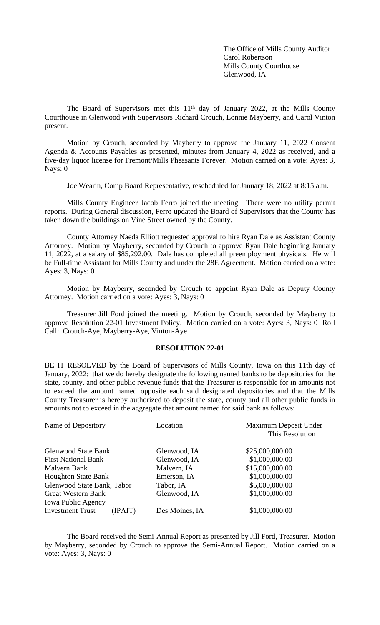The Office of Mills County Auditor Carol Robertson Mills County Courthouse Glenwood, IA

The Board of Supervisors met this 11<sup>th</sup> day of January 2022, at the Mills County Courthouse in Glenwood with Supervisors Richard Crouch, Lonnie Mayberry, and Carol Vinton present.

Motion by Crouch, seconded by Mayberry to approve the January 11, 2022 Consent Agenda & Accounts Payables as presented, minutes from January 4, 2022 as received, and a five-day liquor license for Fremont/Mills Pheasants Forever. Motion carried on a vote: Ayes: 3, Nays: 0

Joe Wearin, Comp Board Representative, rescheduled for January 18, 2022 at 8:15 a.m.

Mills County Engineer Jacob Ferro joined the meeting. There were no utility permit reports. During General discussion, Ferro updated the Board of Supervisors that the County has taken down the buildings on Vine Street owned by the County.

County Attorney Naeda Elliott requested approval to hire Ryan Dale as Assistant County Attorney. Motion by Mayberry, seconded by Crouch to approve Ryan Dale beginning January 11, 2022, at a salary of \$85,292.00. Dale has completed all preemployment physicals. He will be Full-time Assistant for Mills County and under the 28E Agreement. Motion carried on a vote: Ayes: 3, Nays: 0

Motion by Mayberry, seconded by Crouch to appoint Ryan Dale as Deputy County Attorney. Motion carried on a vote: Ayes: 3, Nays: 0

Treasurer Jill Ford joined the meeting. Motion by Crouch, seconded by Mayberry to approve Resolution 22-01 Investment Policy. Motion carried on a vote: Ayes: 3, Nays: 0 Roll Call: Crouch-Aye, Mayberry-Aye, Vinton-Aye

# **RESOLUTION 22-01**

BE IT RESOLVED by the Board of Supervisors of Mills County, Iowa on this 11th day of January, 2022: that we do hereby designate the following named banks to be depositories for the state, county, and other public revenue funds that the Treasurer is responsible for in amounts not to exceed the amount named opposite each said designated depositories and that the Mills County Treasurer is hereby authorized to deposit the state, county and all other public funds in amounts not to exceed in the aggregate that amount named for said bank as follows:

| Name of Depository                        | Location                       | Maximum Deposit Under<br>This Resolution |  |  |
|-------------------------------------------|--------------------------------|------------------------------------------|--|--|
| <b>Glenwood State Bank</b>                | Glenwood, IA                   | \$25,000,000.00                          |  |  |
| <b>First National Bank</b>                | \$1,000,000.00<br>Glenwood, IA |                                          |  |  |
| Malvern Bank                              | Malvern, IA                    | \$15,000,000.00                          |  |  |
| <b>Houghton State Bank</b>                | Emerson, IA                    | \$1,000,000.00                           |  |  |
| Glenwood State Bank, Tabor                | Tabor, IA                      | \$5,000,000.00                           |  |  |
| <b>Great Western Bank</b>                 | Glenwood, IA                   | \$1,000,000.00                           |  |  |
| <b>Iowa Public Agency</b>                 |                                |                                          |  |  |
| <b>Investment Trust</b><br><b>IPAIT</b> ) | Des Moines, IA                 | \$1,000,000.00                           |  |  |

The Board received the Semi-Annual Report as presented by Jill Ford, Treasurer. Motion by Mayberry, seconded by Crouch to approve the Semi-Annual Report. Motion carried on a vote: Ayes: 3, Nays: 0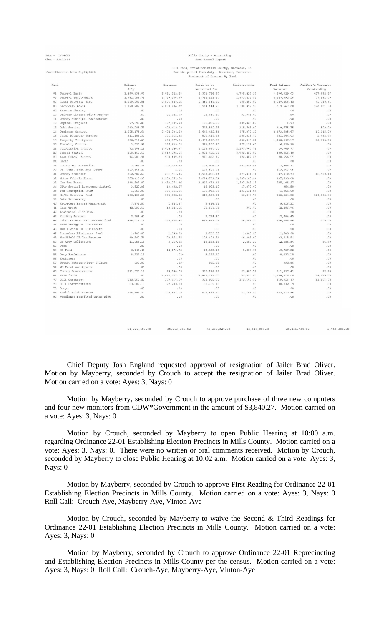Date -  $1/04/22$ <br>Time -  $13:21:44$ 

Certification Date 01/04/2022

# Mills County - Accounting<br>Semi-Annual Report

# Jill Ford, Treasurer-Mills County, Glenwood, IA<br>For the period from July - December, Inclusive<br>Statement of Account By Fund

| Fund |                                | Balance          | Revenues       | Total to be    | Disbursements | Fund Balance   | Auditor's Warrants |
|------|--------------------------------|------------------|----------------|----------------|---------------|----------------|--------------------|
|      |                                | July             |                | Accounted for  |               | December       | Outstanding        |
| 01   | General Basic                  | 1.490.434.07     | 6,881,322.23   | 8,371,756.30   | 4.785.427.27  | 3,586,329,03   | 427.882.27         |
| 02   | General Supplemental           | 1,981,758.71     | 1,729,366.39   | 3,711,125.10   | 1,363,232.92  | 2, 347, 892.18 | 77, 931.49         |
| 03   | Rural Services Basic           | 1,239,908.81     | 2,176,640.51   | 3, 416, 549.32 | 689,292.90    | 2,727,256.42   | 45,710.41          |
| 05   | Secondary Roads                | 3.120.207.38     | 2.083.936.82   | 5.204.144.20   | 3.590.477.20  | 1.613.667.00   | 328,081,39         |
| 06   | Revenue Sharing                | .00              | .00            | .00            | .00           | .00            | .00                |
| 10   | Drivers License Pilot Project  | $-50-$           | 31,841.00      | 31,840.50      | 31,841.00     | $-50-$         | .00                |
| 11   | County Municipal Assisstance   | .00 <sub>1</sub> | .00            | .00            | .00           | .00            | .00                |
| 12   | Capital Projects               | 77, 392.83       | 107,637.00     | 185,029.83     | 185,028.80    | 1.03           | .00.               |
| 13   | Debt Service                   | 242.948.73       | 492.612.02     | 735.560.75     | 115.785.00    | 619,775.75     | 500.00             |
| 14   | Drainage Control               | 1,225,178.64     | 2, 424, 284.20 | 3,649,462.84   | 975, 877.17   | 2,673,585.67   | 10,345,00          |
| 16   | Joint Disaster Service         | 311.104.37       | 191.315.38     | 502.419.75     | 200.815.72    | 301,604.03     | 2.468.43           |
| 18   | Property Tax Agency            | 800, 514.83      | 696, 677.55    | 1,497,192.38   | 366,645.21    | 1,130,547.17   | 23,675.00          |
| 20   | Township Control               | 3,520.93         | 277,635.02     | 281,155.95     | 275, 126, 65  | 6,029.30       | .00                |
| 21   | Corporation Control            | 72, 284.18       | 2,054,346.37   | 2,126,630.55   | 2,107,860.78  | 18,769.77      | .00                |
| 22   | School Control                 | 158,160.63       | 8, 813, 291.66 | 8, 971, 452.29 | 8,782,433.89  | 189,018.40     | .00.               |
| 23   | Area School Control            | 14,900.34        | 930.137.83     | 945.038.17     | 924, 482, 06  | 20.556.11      | .00                |
| 24   | Decat                          | .00              | .00            | .00            | .00           | .00            | .00.               |
| 29   | County Ag. Extension           | 2.767.39         | 153,239.20     | 156,006.59     | 152.599.88    | 3.406.71       | .00 <sub>1</sub>   |
| 30   | Co. Cons. Land Agu. Trust      | 163.564.29       | $1.24 -$       | 163,563.05     | $-00$         | 163,563.05     | .00                |
| 31   | County Assessor                | 802,507.69       | 261, 514, 45   | 1,064,022.14   | 177, 011, 41  | 887,010.73     | 12,489.10          |
| 32   | Motor Vehicle Trust            | 205, 418, 30     | 1,999,363.54   | 2.204.781.84   | 2.007.183.04  | 197,598.80     | .00                |
| 33   | Use Tax Trust                  | 348,887.00       | 1, 483, 764.46 | 1,832,651.46   | 1,507,543.19  | 325,108.27     | .00                |
| 34   | City Special Assessmet Control | 3.520.83         | 13.402.27      | 16.923.10      | 17.877.60     | $954.50 -$     | .00                |
| 35   | Tax Redemotion Trust           | 1.366.99         | 131, 611.64    | 132,978.63     | 131, 611.64   | 1,366.99       | .00                |
| 36   | Mh/Dd Services Fund            | 130.136.89       | 185, 392, 35   | 315,529.24     | 56.644.74     | 258,884.50     | 120,835.46         |
| 37   | Data Processing                | .00              | .00            | .00            | .00           | .00            | .00                |
| 40   | Recorders Record Management    | 7.871.54         | 1,944.67       | 9.816.21       | .00           | 9,816.21       | .00                |
| 41   | Reap Trust                     | 42.532.65        | 10,326.11      | 52.858.76      | 375.00        | 52, 483, 76    | .00.               |
| 42   | Anatomical Gift Fund           | .00              | .00            | .00            | .00           | .00            | .00                |
| 43   | Holding Account                | 2.784.45         | .00            | 2.784.45       | .00           | 2.784.45       | .00                |
| 44   | Urban Renewal Tax revenue fund | 486.019.16       | 176.478.43     | 662.497.59     | 26.208.75     | 636,288.84     | 300.00             |
| 45   | Feed Energy UR TIF Rebate      | .00.             | .00            | .00            | $-00$         | .00            | .00                |
| 46   | MAM I-29/34 UR TIF Rebate      | .00.             | .00            | .00            | .00           | $-0.0$         | .00                |
| 47   | Recorders Electronic Fund      | 1,788.00         | 1,945.00       | 3,733.00       | 1,945.00      | 1,788.00       | .00                |
| 48   | Woodfield UR Tax Revenue       | 49,540.76        | 78,863.75      | 128,404.51     | 46,389.00     | 82, 015.51     | .00                |
| 52   | Co Atty Collection             | 11,958,18        | 3.219.95       | 15.178.13      | 2.589.29      | 12.588.84      | 66.49              |
| 53   | Dare                           | .00              | .00            | .00            | .00           | .00            | .00                |
|      | 54 K9 Fund                     | 6.748.40         | 14,073.75      | 20.822.15      | 1,034.93      | 19.787.22      | .00                |
| 55   | Drug Forfeiture                | 8,322.13         | $-0.3 -$       | 8.322.10       | .00           | 8,322.10       | .00                |
| 56   | Explorers                      | .00.             | .00.           | .00            | .00           | .00            | .00                |
| 57   | County Attorney Drug Dollars   | 932.89           | $.03 -$        | 932.86         | .00           | 932.86         | .00                |
| 59   | MH Trust and Agency            | .00              | .00            | .00            | .00           | .00            | .00                |
| 60   | County Conservation            | 271,020,13       | 64.098.00      | 335, 118, 13   | 23.480.72     | 311,637,41     | 22.29              |
| 61   | ARPA fUNDS                     | .00              | 1,467,373.00   | 1,467,373.00   | 62,555.00     | 1,404,818.00   | 24,969.00          |
| 77   | E911 Surcharge                 | 212, 255, 25     | 109,667.57     | 321, 922.82    | 152,607.35    | 169, 315.47    | 11,106.72          |
| 78   | E911 Contributions             | 53,502.19        | 27.230.00      | 80.732.19      | .00           | 80.732.19      | .00                |
| 79   | Bunge                          | .00              | .00            | .00            | .00           | .00            | .00                |
| 85   | Health Reimb Account           | 475.693.32       | 128.821.00     | 604.514.32     | 52.101.47     | 552, 412, 85   | .00.               |
| QQ   | Woodlands Benefited Water Dist | .00              | .00            | .00            | $-00$         | .00            | .00                |
|      |                                |                  |                |                |               |                |                    |

Chief Deputy Josh England requested approval of resignation of Jailer Brad Oliver. Motion by Mayberry, seconded by Crouch to accept the resignation of Jailer Brad Oliver. Motion carried on a vote: Ayes: 3, Nays: 0

 $[14, 027, 452, 38$   $[35, 203, 371, 82$   $[49, 230, 824, 20$   $[28, 814, 084, 58]$ 

20.416.739.62

1,086,383.05

Motion by Mayberry, seconded by Crouch to approve purchase of three new computers and four new monitors from CDW\*Government in the amount of \$3,840.27. Motion carried on a vote: Ayes: 3, Nays: 0

Motion by Crouch, seconded by Mayberry to open Public Hearing at 10:00 a.m. regarding Ordinance 22-01 Establishing Election Precincts in Mills County. Motion carried on a vote: Ayes: 3, Nays: 0. There were no written or oral comments received. Motion by Crouch, seconded by Mayberry to close Public Hearing at 10:02 a.m. Motion carried on a vote: Ayes: 3, Nays: 0

Motion by Mayberry, seconded by Crouch to approve First Reading for Ordinance 22-01 Establishing Election Precincts in Mills County. Motion carried on a vote: Ayes: 3, Nays: 0 Roll Call: Crouch-Aye, Mayberry-Aye, Vinton-Aye

Motion by Crouch, seconded by Mayberry to waive the Second & Third Readings for Ordinance 22-01 Establishing Election Precincts in Mills County. Motion carried on a vote: Ayes: 3, Nays: 0

Motion by Mayberry, seconded by Crouch to approve Ordinance 22-01 Reprecincting and Establishing Election Precincts in Mills County per the census. Motion carried on a vote: Ayes: 3, Nays: 0 Roll Call: Crouch-Aye, Mayberry-Aye, Vinton-Aye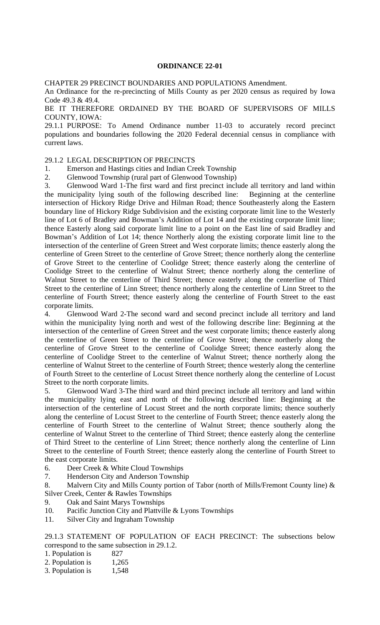#### **ORDINANCE 22-01**

CHAPTER 29 PRECINCT BOUNDARIES AND POPULATIONS Amendment.

An Ordinance for the re-precincting of Mills County as per 2020 census as required by Iowa Code 49.3 & 49.4.

BE IT THEREFORE ORDAINED BY THE BOARD OF SUPERVISORS OF MILLS COUNTY, IOWA:

29.1.1 PURPOSE: To Amend Ordinance number 11-03 to accurately record precinct populations and boundaries following the 2020 Federal decennial census in compliance with current laws.

### 29.1.2 LEGAL DESCRIPTION OF PRECINCTS

- 1. Emerson and Hastings cities and Indian Creek Township
- 2. Glenwood Township (rural part of Glenwood Township)

3. Glenwood Ward 1-The first ward and first precinct include all territory and land within the municipality lying south of the following described line: Beginning at the centerline intersection of Hickory Ridge Drive and Hilman Road; thence Southeasterly along the Eastern boundary line of Hickory Ridge Subdivision and the existing corporate limit line to the Westerly line of Lot 6 of Bradley and Bowman's Addition of Lot 14 and the existing corporate limit line; thence Easterly along said corporate limit line to a point on the East line of said Bradley and Bowman's Addition of Lot 14; thence Northerly along the existing corporate limit line to the intersection of the centerline of Green Street and West corporate limits; thence easterly along the centerline of Green Street to the centerline of Grove Street; thence northerly along the centerline of Grove Street to the centerline of Coolidge Street; thence easterly along the centerline of Coolidge Street to the centerline of Walnut Street; thence northerly along the centerline of Walnut Street to the centerline of Third Street; thence easterly along the centerline of Third Street to the centerline of Linn Street; thence northerly along the centerline of Linn Street to the centerline of Fourth Street; thence easterly along the centerline of Fourth Street to the east corporate limits.

4. Glenwood Ward 2-The second ward and second precinct include all territory and land within the municipality lying north and west of the following describe line: Beginning at the intersection of the centerline of Green Street and the west corporate limits; thence easterly along the centerline of Green Street to the centerline of Grove Street; thence northerly along the centerline of Grove Street to the centerline of Coolidge Street; thence easterly along the centerline of Coolidge Street to the centerline of Walnut Street; thence northerly along the centerline of Walnut Street to the centerline of Fourth Street; thence westerly along the centerline of Fourth Street to the centerline of Locust Street thence northerly along the centerline of Locust Street to the north corporate limits.

5. Glenwood Ward 3-The third ward and third precinct include all territory and land within the municipality lying east and north of the following described line: Beginning at the intersection of the centerline of Locust Street and the north corporate limits; thence southerly along the centerline of Locust Street to the centerline of Fourth Street; thence easterly along the centerline of Fourth Street to the centerline of Walnut Street; thence southerly along the centerline of Walnut Street to the centerline of Third Street; thence easterly along the centerline of Third Street to the centerline of Linn Street; thence northerly along the centerline of Linn Street to the centerline of Fourth Street; thence easterly along the centerline of Fourth Street to the east corporate limits.

- 6. Deer Creek & White Cloud Townships
- 7. Henderson City and Anderson Township
- 8. Malvern City and Mills County portion of Tabor (north of Mills/Fremont County line) & Silver Creek, Center & Rawles Townships
- 9. Oak and Saint Marys Townships
- 10. Pacific Junction City and Plattville & Lyons Townships
- 11. Silver City and Ingraham Township

29.1.3 STATEMENT OF POPULATION OF EACH PRECINCT: The subsections below correspond to the same subsection in 29.1.2.

- 1. Population is 827
- 2. Population is 1,265
- 3. Population is 1,548